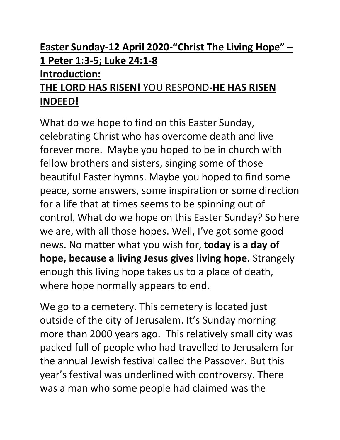## **Easter Sunday-12 April 2020-"Christ The Living Hope" – 1 Peter 1:3-5; Luke 24:1-8 Introduction:**

## **THE LORD HAS RISEN!** YOU RESPOND**-HE HAS RISEN INDEED!**

What do we hope to find on this Easter Sunday, celebrating Christ who has overcome death and live forever more. Maybe you hoped to be in church with fellow brothers and sisters, singing some of those beautiful Easter hymns. Maybe you hoped to find some peace, some answers, some inspiration or some direction for a life that at times seems to be spinning out of control. What do we hope on this Easter Sunday? So here we are, with all those hopes. Well, I've got some good news. No matter what you wish for, **today is a day of hope, because a living Jesus gives living hope.** Strangely enough this living hope takes us to a place of death, where hope normally appears to end.

We go to a cemetery. This cemetery is located just outside of the city of Jerusalem. It's Sunday morning more than 2000 years ago. This relatively small city was packed full of people who had travelled to Jerusalem for the annual Jewish festival called the Passover. But this year's festival was underlined with controversy. There was a man who some people had claimed was the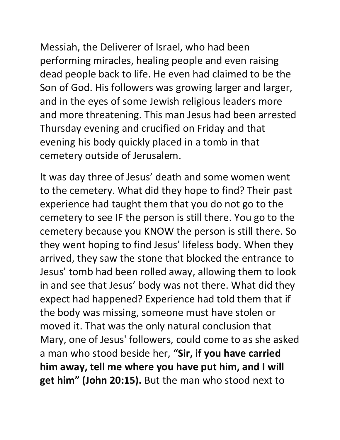Messiah, the Deliverer of Israel, who had been performing miracles, healing people and even raising dead people back to life. He even had claimed to be the Son of God. His followers was growing larger and larger, and in the eyes of some Jewish religious leaders more and more threatening. This man Jesus had been arrested Thursday evening and crucified on Friday and that evening his body quickly placed in a tomb in that cemetery outside of Jerusalem.

It was day three of Jesus' death and some women went to the cemetery. What did they hope to find? Their past experience had taught them that you do not go to the cemetery to see IF the person is still there. You go to the cemetery because you KNOW the person is still there. So they went hoping to find Jesus' lifeless body. When they arrived, they saw the stone that blocked the entrance to Jesus' tomb had been rolled away, allowing them to look in and see that Jesus' body was not there. What did they expect had happened? Experience had told them that if the body was missing, someone must have stolen or moved it. That was the only natural conclusion that Mary, one of Jesus' followers, could come to as she asked a man who stood beside her, **"Sir, if you have carried him away, tell me where you have put him, and I will get him" (John 20:15).** But the man who stood next to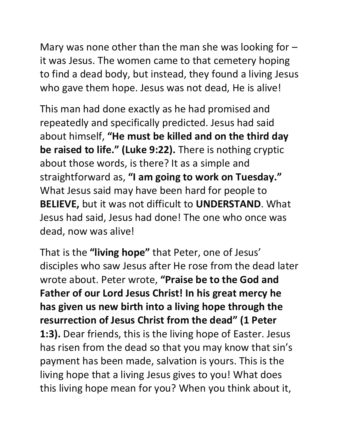Mary was none other than the man she was looking for – it was Jesus. The women came to that cemetery hoping to find a dead body, but instead, they found a living Jesus who gave them hope. Jesus was not dead, He is alive!

This man had done exactly as he had promised and repeatedly and specifically predicted. Jesus had said about himself, **"He must be killed and on the third day be raised to life." (Luke 9:22).** There is nothing cryptic about those words, is there? It as a simple and straightforward as, **"I am going to work on Tuesday."** What Jesus said may have been hard for people to **BELIEVE,** but it was not difficult to **UNDERSTAND**. What Jesus had said, Jesus had done! The one who once was dead, now was alive!

That is the **"living hope"** that Peter, one of Jesus' disciples who saw Jesus after He rose from the dead later wrote about. Peter wrote, **"Praise be to the God and Father of our Lord Jesus Christ! In his great mercy he has given us new birth into a living hope through the resurrection of Jesus Christ from the dead" (1 Peter 1:3).** Dear friends, this is the living hope of Easter. Jesus has risen from the dead so that you may know that sin's payment has been made, salvation is yours. This is the living hope that a living Jesus gives to you! What does this living hope mean for you? When you think about it,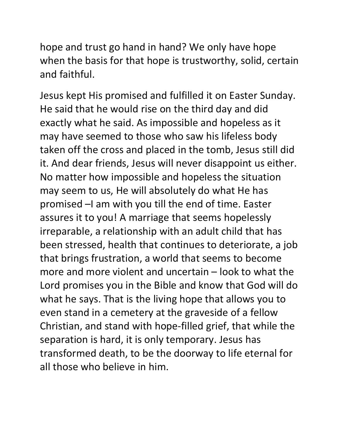hope and trust go hand in hand? We only have hope when the basis for that hope is trustworthy, solid, certain and faithful.

Jesus kept His promised and fulfilled it on Easter Sunday. He said that he would rise on the third day and did exactly what he said. As impossible and hopeless as it may have seemed to those who saw his lifeless body taken off the cross and placed in the tomb, Jesus still did it. And dear friends, Jesus will never disappoint us either. No matter how impossible and hopeless the situation may seem to us, He will absolutely do what He has promised –I am with you till the end of time. Easter assures it to you! A marriage that seems hopelessly irreparable, a relationship with an adult child that has been stressed, health that continues to deteriorate, a job that brings frustration, a world that seems to become more and more violent and uncertain – look to what the Lord promises you in the Bible and know that God will do what he says. That is the living hope that allows you to even stand in a cemetery at the graveside of a fellow Christian, and stand with hope-filled grief, that while the separation is hard, it is only temporary. Jesus has transformed death, to be the doorway to life eternal for all those who believe in him.